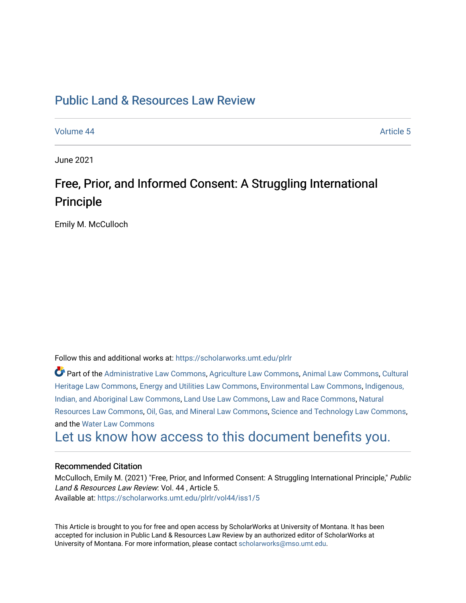# [Public Land & Resources Law Review](https://scholarworks.umt.edu/plrlr)

[Volume 44](https://scholarworks.umt.edu/plrlr/vol44) Article 5

June 2021

# Free, Prior, and Informed Consent: A Struggling International Principle

Emily M. McCulloch

Follow this and additional works at: [https://scholarworks.umt.edu/plrlr](https://scholarworks.umt.edu/plrlr?utm_source=scholarworks.umt.edu%2Fplrlr%2Fvol44%2Fiss1%2F5&utm_medium=PDF&utm_campaign=PDFCoverPages) 

Part of the [Administrative Law Commons,](http://network.bepress.com/hgg/discipline/579?utm_source=scholarworks.umt.edu%2Fplrlr%2Fvol44%2Fiss1%2F5&utm_medium=PDF&utm_campaign=PDFCoverPages) [Agriculture Law Commons](http://network.bepress.com/hgg/discipline/581?utm_source=scholarworks.umt.edu%2Fplrlr%2Fvol44%2Fiss1%2F5&utm_medium=PDF&utm_campaign=PDFCoverPages), [Animal Law Commons](http://network.bepress.com/hgg/discipline/831?utm_source=scholarworks.umt.edu%2Fplrlr%2Fvol44%2Fiss1%2F5&utm_medium=PDF&utm_campaign=PDFCoverPages), [Cultural](http://network.bepress.com/hgg/discipline/1384?utm_source=scholarworks.umt.edu%2Fplrlr%2Fvol44%2Fiss1%2F5&utm_medium=PDF&utm_campaign=PDFCoverPages)  [Heritage Law Commons](http://network.bepress.com/hgg/discipline/1384?utm_source=scholarworks.umt.edu%2Fplrlr%2Fvol44%2Fiss1%2F5&utm_medium=PDF&utm_campaign=PDFCoverPages), [Energy and Utilities Law Commons,](http://network.bepress.com/hgg/discipline/891?utm_source=scholarworks.umt.edu%2Fplrlr%2Fvol44%2Fiss1%2F5&utm_medium=PDF&utm_campaign=PDFCoverPages) [Environmental Law Commons](http://network.bepress.com/hgg/discipline/599?utm_source=scholarworks.umt.edu%2Fplrlr%2Fvol44%2Fiss1%2F5&utm_medium=PDF&utm_campaign=PDFCoverPages), [Indigenous,](http://network.bepress.com/hgg/discipline/894?utm_source=scholarworks.umt.edu%2Fplrlr%2Fvol44%2Fiss1%2F5&utm_medium=PDF&utm_campaign=PDFCoverPages)  [Indian, and Aboriginal Law Commons](http://network.bepress.com/hgg/discipline/894?utm_source=scholarworks.umt.edu%2Fplrlr%2Fvol44%2Fiss1%2F5&utm_medium=PDF&utm_campaign=PDFCoverPages), [Land Use Law Commons](http://network.bepress.com/hgg/discipline/852?utm_source=scholarworks.umt.edu%2Fplrlr%2Fvol44%2Fiss1%2F5&utm_medium=PDF&utm_campaign=PDFCoverPages), [Law and Race Commons,](http://network.bepress.com/hgg/discipline/1300?utm_source=scholarworks.umt.edu%2Fplrlr%2Fvol44%2Fiss1%2F5&utm_medium=PDF&utm_campaign=PDFCoverPages) [Natural](http://network.bepress.com/hgg/discipline/863?utm_source=scholarworks.umt.edu%2Fplrlr%2Fvol44%2Fiss1%2F5&utm_medium=PDF&utm_campaign=PDFCoverPages) [Resources Law Commons](http://network.bepress.com/hgg/discipline/863?utm_source=scholarworks.umt.edu%2Fplrlr%2Fvol44%2Fiss1%2F5&utm_medium=PDF&utm_campaign=PDFCoverPages), [Oil, Gas, and Mineral Law Commons](http://network.bepress.com/hgg/discipline/864?utm_source=scholarworks.umt.edu%2Fplrlr%2Fvol44%2Fiss1%2F5&utm_medium=PDF&utm_campaign=PDFCoverPages), [Science and Technology Law Commons,](http://network.bepress.com/hgg/discipline/875?utm_source=scholarworks.umt.edu%2Fplrlr%2Fvol44%2Fiss1%2F5&utm_medium=PDF&utm_campaign=PDFCoverPages) and the [Water Law Commons](http://network.bepress.com/hgg/discipline/887?utm_source=scholarworks.umt.edu%2Fplrlr%2Fvol44%2Fiss1%2F5&utm_medium=PDF&utm_campaign=PDFCoverPages)

[Let us know how access to this document benefits you.](https://goo.gl/forms/s2rGfXOLzz71qgsB2) 

# Recommended Citation

McCulloch, Emily M. (2021) "Free, Prior, and Informed Consent: A Struggling International Principle," Public Land & Resources Law Review: Vol. 44 , Article 5. Available at: [https://scholarworks.umt.edu/plrlr/vol44/iss1/5](https://scholarworks.umt.edu/plrlr/vol44/iss1/5?utm_source=scholarworks.umt.edu%2Fplrlr%2Fvol44%2Fiss1%2F5&utm_medium=PDF&utm_campaign=PDFCoverPages)

This Article is brought to you for free and open access by ScholarWorks at University of Montana. It has been accepted for inclusion in Public Land & Resources Law Review by an authorized editor of ScholarWorks at University of Montana. For more information, please contact [scholarworks@mso.umt.edu.](mailto:scholarworks@mso.umt.edu)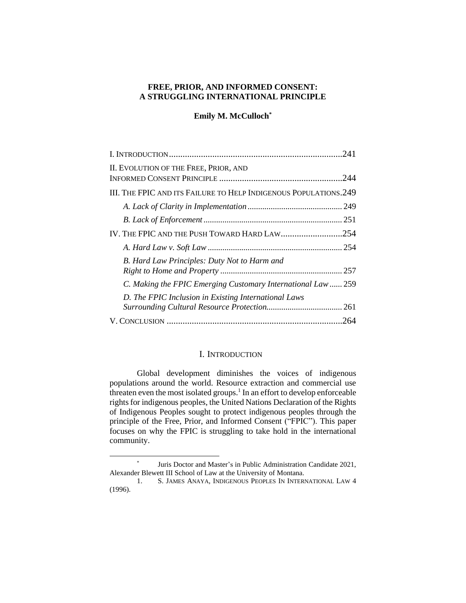# **FREE, PRIOR, AND INFORMED CONSENT: A STRUGGLING INTERNATIONAL PRINCIPLE**

#### **Emily M. McCulloch\***

| 241                                                              |  |
|------------------------------------------------------------------|--|
| II. EVOLUTION OF THE FREE, PRIOR, AND                            |  |
| III. THE FPIC AND ITS FAILURE TO HELP INDIGENOUS POPULATIONS.249 |  |
|                                                                  |  |
|                                                                  |  |
| IV. THE FPIC AND THE PUSH TOWARD HARD LAW254                     |  |
|                                                                  |  |
| B. Hard Law Principles: Duty Not to Harm and                     |  |
| C. Making the FPIC Emerging Customary International Law  259     |  |
| D. The FPIC Inclusion in Existing International Laws             |  |
|                                                                  |  |

# I. INTRODUCTION

<span id="page-1-0"></span>Global development diminishes the voices of indigenous populations around the world. Resource extraction and commercial use threaten even the most isolated groups.<sup>1</sup> In an effort to develop enforceable rights for indigenous peoples, the United Nations Declaration of the Rights of Indigenous Peoples sought to protect indigenous peoples through the principle of the Free, Prior, and Informed Consent ("FPIC"). This paper focuses on why the FPIC is struggling to take hold in the international community.

<sup>\*</sup> Juris Doctor and Master's in Public Administration Candidate 2021, Alexander Blewett III School of Law at the University of Montana.

<sup>1.</sup> S. JAMES ANAYA, INDIGENOUS PEOPLES IN INTERNATIONAL LAW 4 (1996).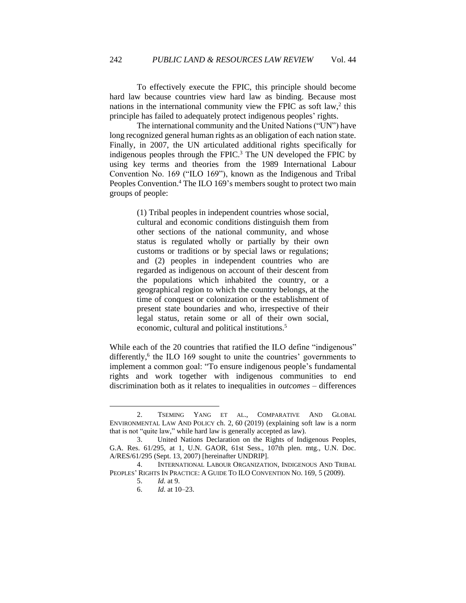To effectively execute the FPIC, this principle should become hard law because countries view hard law as binding. Because most nations in the international community view the FPIC as soft law,<sup>2</sup> this principle has failed to adequately protect indigenous peoples' rights.

The international community and the United Nations ("UN") have long recognized general human rights as an obligation of each nation state. Finally, in 2007, the UN articulated additional rights specifically for indigenous peoples through the FPIC. <sup>3</sup> The UN developed the FPIC by using key terms and theories from the 1989 International Labour Convention No. 169 ("ILO 169"), known as the Indigenous and Tribal Peoples Convention.<sup>4</sup> The ILO 169's members sought to protect two main groups of people:

> (1) Tribal peoples in independent countries whose social, cultural and economic conditions distinguish them from other sections of the national community, and whose status is regulated wholly or partially by their own customs or traditions or by special laws or regulations; and (2) peoples in independent countries who are regarded as indigenous on account of their descent from the populations which inhabited the country, or a geographical region to which the country belongs, at the time of conquest or colonization or the establishment of present state boundaries and who, irrespective of their legal status, retain some or all of their own social, economic, cultural and political institutions.<sup>5</sup>

While each of the 20 countries that ratified the ILO define "indigenous" differently,<sup>6</sup> the ILO 169 sought to unite the countries' governments to implement a common goal: "To ensure indigenous people's fundamental rights and work together with indigenous communities to end discrimination both as it relates to inequalities in *outcomes* – differences

6. *Id.* at 10–23.

<sup>2.</sup> TSEMING YANG ET AL., COMPARATIVE AND GLOBAL ENVIRONMENTAL LAW AND POLICY ch. 2, 60 (2019) (explaining soft law is a norm that is not "quite law," while hard law is generally accepted as law).

<sup>3.</sup> United Nations Declaration on the Rights of Indigenous Peoples, G.A. Res. 61/295, at 1, U.N. GAOR, 61st Sess., 107th plen. mtg., U.N. Doc. A/RES/61/295 (Sept. 13, 2007) [hereinafter UNDRIP].

<sup>4.</sup> INTERNATIONAL LABOUR ORGANIZATION, INDIGENOUS AND TRIBAL PEOPLES' RIGHTS IN PRACTICE: A GUIDE TO ILO CONVENTION NO. 169, 5 (2009).

<sup>5.</sup> *Id.* at 9.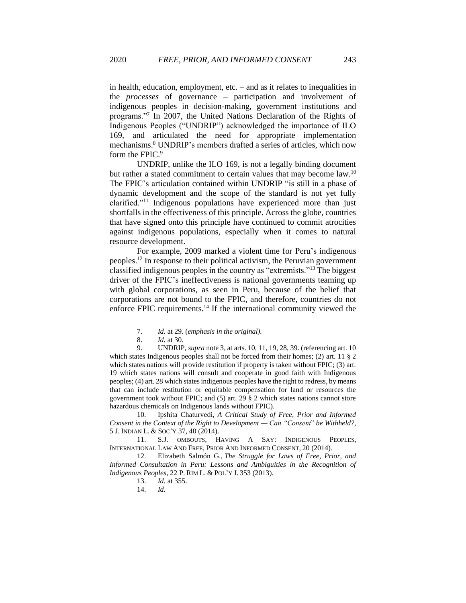in health, education, employment, etc. – and as it relates to inequalities in the *processes* of governance – participation and involvement of indigenous peoples in decision-making, government institutions and programs."<sup>7</sup> In 2007, the United Nations Declaration of the Rights of Indigenous Peoples ("UNDRIP") acknowledged the importance of ILO 169, and articulated the need for appropriate implementation mechanisms.<sup>8</sup> UNDRIP's members drafted a series of articles, which now form the FPIC.<sup>9</sup>

UNDRIP, unlike the ILO 169, is not a legally binding document but rather a stated commitment to certain values that may become law.<sup>10</sup> The FPIC's articulation contained within UNDRIP "is still in a phase of dynamic development and the scope of the standard is not yet fully clarified."<sup>11</sup> Indigenous populations have experienced more than just shortfalls in the effectiveness of this principle. Across the globe, countries that have signed onto this principle have continued to commit atrocities against indigenous populations, especially when it comes to natural resource development.

For example, 2009 marked a violent time for Peru's indigenous peoples.<sup>12</sup> In response to their political activism, the Peruvian government classified indigenous peoples in the country as "extremists."<sup>13</sup> The biggest driver of the FPIC's ineffectiveness is national governments teaming up with global corporations, as seen in Peru, because of the belief that corporations are not bound to the FPIC, and therefore, countries do not enforce FPIC requirements.<sup>14</sup> If the international community viewed the

10. Ipshita Chaturvedi, *A Critical Study of Free, Prior and Informed Consent in the Context of the Right to Development — Can "Consent*" *be Withheld?*, 5 J. INDIAN L. & SOC'Y 37, 40 (2014).

11. S.J. OMBOUTS, HAVING A SAY: INDIGENOUS PEOPLES, INTERNATIONAL LAW AND FREE, PRIOR AND INFORMED CONSENT, 20 (2014).

12. Elizabeth Salmón G., *The Struggle for Laws of Free, Prior, and Informed Consultation in Peru: Lessons and Ambiguities in the Recognition of Indigenous Peoples*, 22 P. RIM L. & POL'Y J. 353 (2013).

<sup>7.</sup> *Id.* at 29. (*emphasis in the original).* 

<sup>8.</sup> *Id.* at 30.

<sup>9.</sup> UNDRIP, *supra* note 3, at arts. 10, 11, 19, 28, 39. (referencing art. 10 which states Indigenous peoples shall not be forced from their homes; (2) art. 11 § 2 which states nations will provide restitution if property is taken without FPIC; (3) art. 19 which states nations will consult and cooperate in good faith with Indigenous peoples; (4) art. 28 which states indigenous peoples have the right to redress, by means that can include restitution or equitable compensation for land or resources the government took without FPIC; and (5) art. 29 § 2 which states nations cannot store hazardous chemicals on Indigenous lands without FPIC).

<sup>13.</sup> *Id.* at 355.

<sup>14.</sup> *Id.*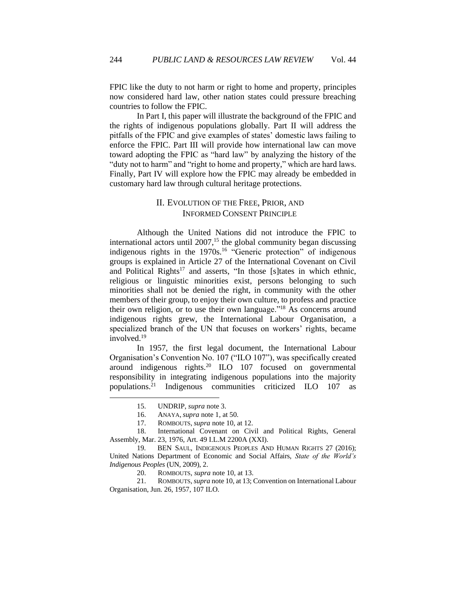FPIC like the duty to not harm or right to home and property, principles now considered hard law, other nation states could pressure breaching countries to follow the FPIC.

In Part I, this paper will illustrate the background of the FPIC and the rights of indigenous populations globally. Part II will address the pitfalls of the FPIC and give examples of states' domestic laws failing to enforce the FPIC. Part III will provide how international law can move toward adopting the FPIC as "hard law" by analyzing the history of the "duty not to harm" and "right to home and property," which are hard laws. Finally, Part IV will explore how the FPIC may already be embedded in customary hard law through cultural heritage protections.

# II. EVOLUTION OF THE FREE, PRIOR, AND INFORMED CONSENT PRINCIPLE

<span id="page-4-0"></span>Although the United Nations did not introduce the FPIC to international actors until 2007, <sup>15</sup> the global community began discussing indigenous rights in the 1970s.<sup>16</sup> "Generic protection" of indigenous groups is explained in Article 27 of the International Covenant on Civil and Political Rights<sup>17</sup> and asserts, "In those [s]tates in which ethnic, religious or linguistic minorities exist, persons belonging to such minorities shall not be denied the right, in community with the other members of their group, to enjoy their own culture, to profess and practice their own religion, or to use their own language."<sup>18</sup> As concerns around indigenous rights grew, the International Labour Organisation, a specialized branch of the UN that focuses on workers' rights, became involved.<sup>19</sup>

In 1957, the first legal document, the International Labour Organisation's Convention No. 107 ("ILO 107"), was specifically created around indigenous rights.<sup>20</sup> ILO 107 focused on governmental responsibility in integrating indigenous populations into the majority populations.<sup>21</sup> Indigenous communities criticized ILO 107 as

21. ROMBOUTS, *supra* note 10*,* at 13; Convention on International Labour Organisation, Jun. 26, 1957, 107 ILO.

<sup>15.</sup> UNDRIP, *supra* note 3.

<sup>16.</sup> ANAYA,*supra* note 1*,* at 50.

<sup>17.</sup> ROMBOUTS, *supra* note 10, at 12.

<sup>18.</sup> International Covenant on Civil and Political Rights, General Assembly, Mar. 23, 1976, Art. 49 I.L.M 2200A (XXI).

<sup>19.</sup> BEN SAUL, INDIGENOUS PEOPLES AND HUMAN RIGHTS 27 (2016); United Nations Department of Economic and Social Affairs, *State of the World's Indigenous Peoples* (UN, 2009), 2.

<sup>20.</sup> ROMBOUTS, *supra* note 10*,* at 13.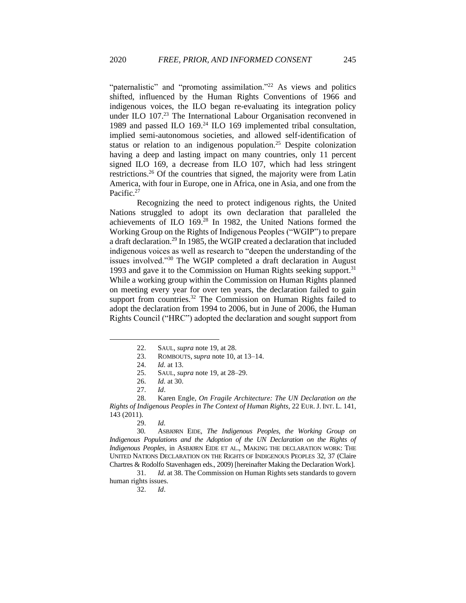"paternalistic" and "promoting assimilation."<sup>22</sup> As views and politics shifted, influenced by the Human Rights Conventions of 1966 and indigenous voices, the ILO began re-evaluating its integration policy under ILO 107.<sup>23</sup> The International Labour Organisation reconvened in 1989 and passed ILO 169.<sup>24</sup> ILO 169 implemented tribal consultation, implied semi-autonomous societies, and allowed self-identification of status or relation to an indigenous population.<sup>25</sup> Despite colonization having a deep and lasting impact on many countries, only 11 percent signed ILO 169, a decrease from ILO 107, which had less stringent restrictions.<sup>26</sup> Of the countries that signed, the majority were from Latin America, with four in Europe, one in Africa, one in Asia, and one from the Pacific.<sup>27</sup>

Recognizing the need to protect indigenous rights, the United Nations struggled to adopt its own declaration that paralleled the achievements of ILO 169.<sup>28</sup> In 1982, the United Nations formed the Working Group on the Rights of Indigenous Peoples ("WGIP") to prepare a draft declaration.<sup>29</sup> In 1985, the WGIP created a declaration that included indigenous voices as well as research to "deepen the understanding of the issues involved."<sup>30</sup> The WGIP completed a draft declaration in August 1993 and gave it to the Commission on Human Rights seeking support.<sup>31</sup> While a working group within the Commission on Human Rights planned on meeting every year for over ten years, the declaration failed to gain support from countries.<sup>32</sup> The Commission on Human Rights failed to adopt the declaration from 1994 to 2006, but in June of 2006, the Human Rights Council ("HRC") adopted the declaration and sought support from

30. ASBJØRN EIDE, *The Indigenous Peoples, the Working Group on Indigenous Populations and the Adoption of the UN Declaration on the Rights of Indigenous Peoples,* in ASBJØRN EIDE ET AL., MAKING THE DECLARATION WORK: THE UNITED NATIONS DECLARATION ON THE RIGHTS OF INDIGENOUS PEOPLES 32, 37 (Claire Chartres & Rodolfo Stavenhagen eds., 2009) [hereinafter Making the Declaration Work].

31. *Id.* at 38. The Commission on Human Rights sets standards to govern human rights issues.

32. *Id*.

<sup>22.</sup> SAUL, *supra* note 19*,* at 28.

<sup>23.</sup> ROMBOUTS, *supra* note 10, at 13–14.

<sup>24.</sup> *Id.* at 13.

<sup>25.</sup> SAUL, *supra* note 19*,* at 28–29.

<sup>26.</sup> *Id.* at 30.

<sup>27.</sup> *Id*.

<sup>28.</sup> Karen Engle, *On Fragile Architecture: The UN Declaration on the Rights of Indigenous Peoples in The Context of Human Rights,* 22 EUR.J. INT. L. 141, 143 (2011).

<sup>29.</sup> *Id.*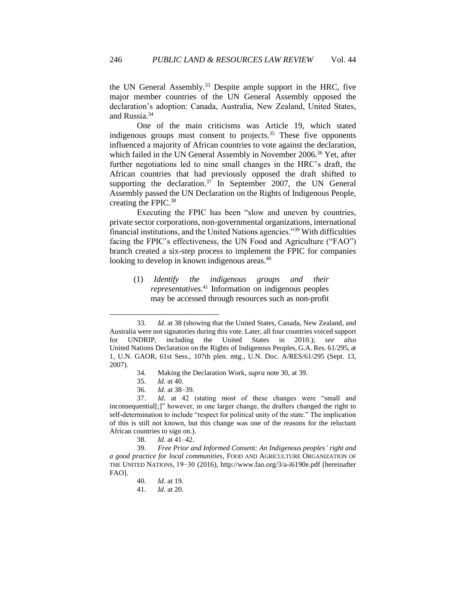the UN General Assembly.<sup>33</sup> Despite ample support in the HRC, five major member countries of the UN General Assembly opposed the declaration's adoption: Canada, Australia, New Zealand, United States, and Russia.<sup>34</sup>

One of the main criticisms was Article 19, which stated indigenous groups must consent to projects. $35$  These five opponents influenced a majority of African countries to vote against the declaration, which failed in the UN General Assembly in November 2006.<sup>36</sup> Yet, after further negotiations led to nine small changes in the HRC's draft, the African countries that had previously opposed the draft shifted to supporting the declaration. $37$  In September 2007, the UN General Assembly passed the UN Declaration on the Rights of Indigenous People, creating the FPIC.<sup>38</sup>

Executing the FPIC has been "slow and uneven by countries, private sector corporations, non-governmental organizations, international financial institutions, and the United Nations agencies."<sup>39</sup> With difficulties facing the FPIC's effectiveness, the UN Food and Agriculture ("FAO") branch created a six-step process to implement the FPIC for companies looking to develop in known indigenous areas.<sup>40</sup>

(1) *Identify the indigenous groups and their representatives.*<sup>41</sup> Information on indigenous peoples may be accessed through resources such as non-profit

36. *Id.* at 38–39.

38. *Id.* at 41–42.

40. *Id.* at 19.

<sup>33.</sup> *Id.* at 38 (showing that the United States, Canada, New Zealand, and Australia were not signatories during this vote. Later, all four countries voiced support for UNDRIP, including the United States in 2010.); *see also*  United Nations Declaration on the Rights of Indigenous Peoples, G.A. Res. 61/295, at 1, U.N. GAOR, 61st Sess., 107th plen. mtg., U.N. Doc. A/RES/61/295 (Sept. 13, 2007).

<sup>34.</sup> Making the Declaration Work, *supra* note 30, at 39.

<sup>35.</sup> *Id.* at 40.

<sup>37.</sup> *Id.* at 42 (stating most of these changes were "small and inconsequential[;]" however, in one larger change, the drafters changed the right to self-determination to include "respect for political unity of the state." The implication of this is still not known, but this change was one of the reasons for the reluctant African countries to sign on.).

<sup>39.</sup> *Free Prior and Informed Consent: An Indigenous peoples' right and a good practice for local communities*, FOOD AND AGRICULTURE ORGANIZATION OF THE UNITED NATIONS, 19−30 (2016), http://www.fao.org/3/a-i6190e.pdf [hereinafter FAO].

<sup>41.</sup> *Id.* at 20.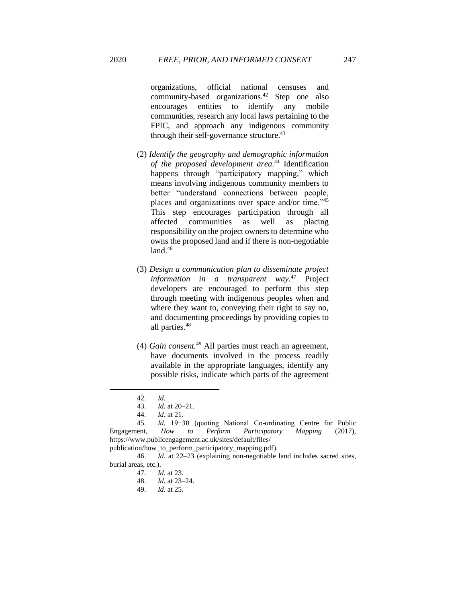organizations, official national censuses and community-based organizations.<sup>42</sup> Step one also encourages entities to identify any mobile communities, research any local laws pertaining to the FPIC, and approach any indigenous community through their self-governance structure.<sup>43</sup>

- (2) *Identify the geography and demographic information of the proposed development area.*<sup>44</sup> Identification happens through "participatory mapping," which means involving indigenous community members to better "understand connections between people, places and organizations over space and/or time."<sup>45</sup> This step encourages participation through all affected communities as well as placing responsibility on the project owners to determine who owns the proposed land and if there is non-negotiable land.<sup>46</sup>
- (3) *Design a communication plan to disseminate project information in a transparent way.*<sup>47</sup> Project developers are encouraged to perform this step through meeting with indigenous peoples when and where they want to, conveying their right to say no, and documenting proceedings by providing copies to all parties.<sup>48</sup>
- (4) *Gain consent.*<sup>49</sup> All parties must reach an agreement, have documents involved in the process readily available in the appropriate languages, identify any possible risks, indicate which parts of the agreement

<sup>42.</sup> *Id.* 

<sup>43.</sup> *Id.* at 20–21.

<sup>44.</sup> *Id.* at 21.

<sup>45.</sup> *Id.* 19−30 (quoting National Co-ordinating Centre for Public Engagement, *How to Perform Participatory Mapping* (2017), https://www.publicengagement.ac.uk/sites/default/files/

publication/how\_to\_perform\_participatory\_mapping.pdf).

<sup>46.</sup> *Id*. at 22–23 (explaining non-negotiable land includes sacred sites, burial areas, etc.).

<sup>47.</sup> *Id*. at 23.

<sup>48.</sup> *Id.* at 23–24.

*Id.* at 25.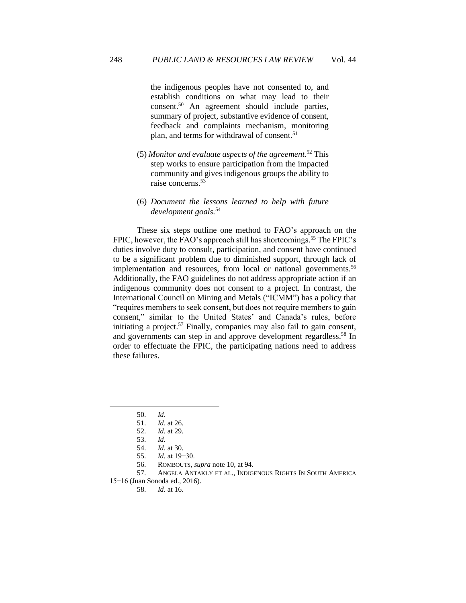the indigenous peoples have not consented to, and establish conditions on what may lead to their consent.<sup>50</sup> An agreement should include parties, summary of project, substantive evidence of consent, feedback and complaints mechanism, monitoring plan, and terms for withdrawal of consent.<sup>51</sup>

- (5) *Monitor and evaluate aspects of the agreement.*<sup>52</sup> This step works to ensure participation from the impacted community and gives indigenous groups the ability to raise concerns.<sup>53</sup>
- (6) *Document the lessons learned to help with future development goals.*<sup>54</sup>

These six steps outline one method to FAO's approach on the FPIC, however, the FAO's approach still has shortcomings. <sup>55</sup> The FPIC's duties involve duty to consult, participation, and consent have continued to be a significant problem due to diminished support, through lack of implementation and resources, from local or national governments.<sup>56</sup> Additionally, the FAO guidelines do not address appropriate action if an indigenous community does not consent to a project. In contrast, the International Council on Mining and Metals ("ICMM") has a policy that "requires members to seek consent, but does not require members to gain consent," similar to the United States' and Canada's rules, before initiating a project.<sup>57</sup> Finally, companies may also fail to gain consent, and governments can step in and approve development regardless. <sup>58</sup> In order to effectuate the FPIC, the participating nations need to address these failures.

15−16 (Juan Sonoda ed., 2016).

58. *Id.* at 16.

<sup>50.</sup> *Id*.

<sup>51.</sup> *Id*. at 26.

*Id.* at 29.

<sup>53.</sup> *Id.* 

<sup>54.</sup> *Id*. at 30.

<sup>55.</sup> *Id.* at 19−30.

<sup>56.</sup> ROMBOUTS, *supra* note 10, at 94.

<sup>57.</sup> ANGELA ANTAKLY ET AL., INDIGENOUS RIGHTS IN SOUTH AMERICA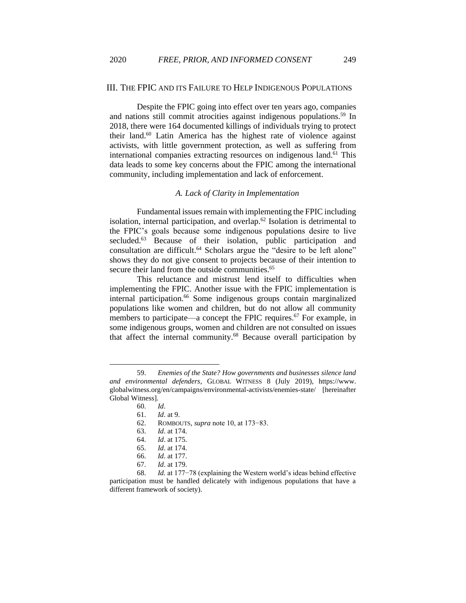#### <span id="page-9-0"></span>III. THE FPIC AND ITS FAILURE TO HELP INDIGENOUS POPULATIONS

Despite the FPIC going into effect over ten years ago, companies and nations still commit atrocities against indigenous populations.<sup>59</sup> In 2018, there were 164 documented killings of individuals trying to protect their land.<sup>60</sup> Latin America has the highest rate of violence against activists, with little government protection, as well as suffering from international companies extracting resources on indigenous land.<sup>61</sup> This data leads to some key concerns about the FPIC among the international community, including implementation and lack of enforcement.

#### *A. Lack of Clarity in Implementation*

<span id="page-9-1"></span>Fundamental issues remain with implementing the FPIC including isolation, internal participation, and overlap.<sup>62</sup> Isolation is detrimental to the FPIC's goals because some indigenous populations desire to live secluded.<sup>63</sup> Because of their isolation, public participation and consultation are difficult.<sup>64</sup> Scholars argue the "desire to be left alone" shows they do not give consent to projects because of their intention to secure their land from the outside communities.<sup>65</sup>

This reluctance and mistrust lend itself to difficulties when implementing the FPIC. Another issue with the FPIC implementation is internal participation.<sup>66</sup> Some indigenous groups contain marginalized populations like women and children, but do not allow all community members to participate—a concept the FPIC requires.<sup>67</sup> For example, in some indigenous groups, women and children are not consulted on issues that affect the internal community.<sup>68</sup> Because overall participation by

- 64. *Id*. at 175.
- 65. *Id*. at 174.

67. *Id*. at 179.

<sup>59.</sup> *Enemies of the State? How governments and businesses silence land and environmental defenders*, GLOBAL WITNESS 8 (July 2019), https://www. globalwitness.org/en/campaigns/environmental-activists/enemies-state/ [hereinafter Global Witness].

<sup>60.</sup> *Id*.

<sup>61.</sup> *Id*. at 9.

<sup>62.</sup> ROMBOUTS, *supra* note 10, at 173−83.

<sup>63.</sup> *Id*. at 174.

<sup>66.</sup> *Id.* at 177.

<sup>68.</sup> *Id.* at 177−78 (explaining the Western world's ideas behind effective participation must be handled delicately with indigenous populations that have a different framework of society).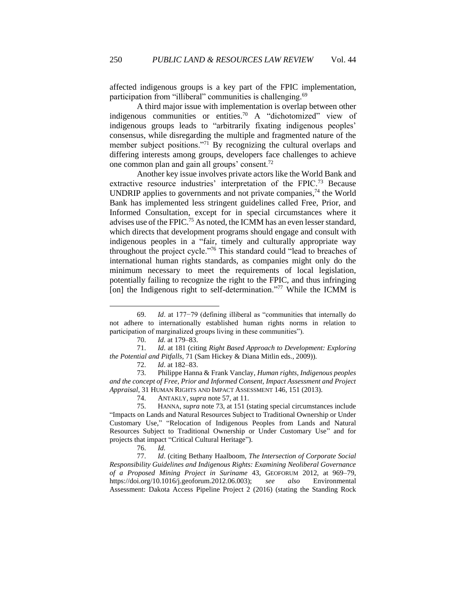affected indigenous groups is a key part of the FPIC implementation, participation from "illiberal" communities is challenging.<sup>69</sup>

A third major issue with implementation is overlap between other indigenous communities or entities.<sup>70</sup> A "dichotomized" view of indigenous groups leads to "arbitrarily fixating indigenous peoples' consensus, while disregarding the multiple and fragmented nature of the member subject positions."<sup>71</sup> By recognizing the cultural overlaps and differing interests among groups, developers face challenges to achieve one common plan and gain all groups' consent.<sup>72</sup>

Another key issue involves private actors like the World Bank and extractive resource industries' interpretation of the FPIC.<sup>73</sup> Because UNDRIP applies to governments and not private companies, <sup>74</sup> the World Bank has implemented less stringent guidelines called Free, Prior, and Informed Consultation, except for in special circumstances where it advises use of the FPIC.<sup>75</sup> As noted, the ICMM has an even lesser standard, which directs that development programs should engage and consult with indigenous peoples in a "fair, timely and culturally appropriate way throughout the project cycle."<sup>76</sup> This standard could "lead to breaches of international human rights standards, as companies might only do the minimum necessary to meet the requirements of local legislation, potentially failing to recognize the right to the FPIC, and thus infringing [on] the Indigenous right to self-determination."<sup>77</sup> While the ICMM is

<sup>69.</sup> *Id*. at 177−79 (defining illiberal as "communities that internally do not adhere to internationally established human rights norms in relation to participation of marginalized groups living in these communities").

<sup>70.</sup> *Id.* at 179–83.

<sup>71.</sup> *Id*. at 181 (citing *Right Based Approach to Development: Exploring the Potential and Pitfalls,* 71 (Sam Hickey & Diana Mitlin eds., 2009)).

<sup>72.</sup> *Id*. at 182–83.

<sup>73.</sup> Philippe Hanna & Frank Vanclay, *Human rights, Indigenous peoples and the concept of Free, Prior and Informed Consent, Impact Assessment and Project Appraisal*, 31 HUMAN RIGHTS AND IMPACT ASSESSMENT 146, 151 (2013).

<sup>74.</sup> ANTAKLY,*supra* note 57, at 11.

<sup>75.</sup> HANNA, *supra* note 73, at 151 (stating special circumstances include "Impacts on Lands and Natural Resources Subject to Traditional Ownership or Under Customary Use," "Relocation of Indigenous Peoples from Lands and Natural Resources Subject to Traditional Ownership or Under Customary Use" and for projects that impact "Critical Cultural Heritage").

<sup>76.</sup> *Id.* 

<sup>77.</sup> *Id*. (citing Bethany Haalboom, *The Intersection of Corporate Social Responsibility Guidelines and Indigenous Rights: Examining Neoliberal Governance of a Proposed Mining Project in Suriname* 43, GEOFORUM 2012, at 969–79, https://doi.org/10.1016/j.geoforum.2012.06.003); *see also* Environmental Assessment: Dakota Access Pipeline Project 2 (2016) (stating the Standing Rock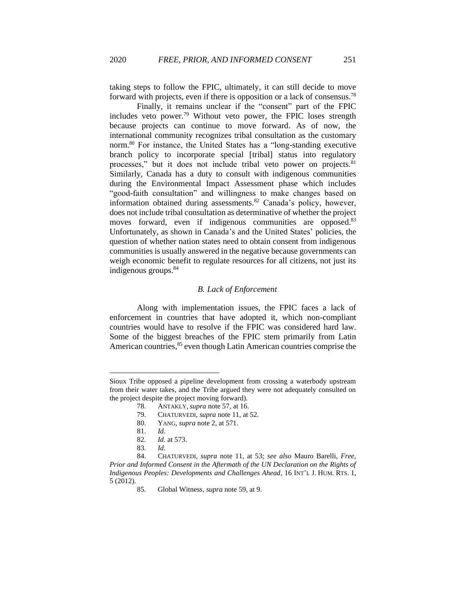taking steps to follow the FPIC, ultimately, it can still decide to move forward with projects, even if there is opposition or a lack of consensus.<sup>78</sup>

Finally, it remains unclear if the "consent" part of the FPIC includes veto power.<sup>79</sup> Without veto power, the FPIC loses strength because projects can continue to move forward. As of now, the international community recognizes tribal consultation as the customary norm.<sup>80</sup> For instance, the United States has a "long-standing executive branch policy to incorporate special [tribal] status into regulatory processes," but it does not include tribal veto power on projects.<sup>81</sup> Similarly, Canada has a duty to consult with indigenous communities during the Environmental Impact Assessment phase which includes "good-faith consultation" and willingness to make changes based on information obtained during assessments.<sup>82</sup> Canada's policy, however, does not include tribal consultation as determinative of whether the project moves forward, even if indigenous communities are opposed.<sup>83</sup> Unfortunately, as shown in Canada's and the United States' policies, the question of whether nation states need to obtain consent from indigenous communities is usually answered in the negative because governments can weigh economic benefit to regulate resources for all citizens, not just its indigenous groups.<sup>84</sup>

#### *B. Lack of Enforcement*

<span id="page-11-0"></span>Along with implementation issues, the FPIC faces a lack of enforcement in countries that have adopted it, which non-compliant countries would have to resolve if the FPIC was considered hard law. Some of the biggest breaches of the FPIC stem primarily from Latin American countries, <sup>85</sup> even though Latin American countries comprise the

79. CHATURVEDI, *supra* note 11, at 52.

Sioux Tribe opposed a pipeline development from crossing a waterbody upstream from their water takes, and the Tribe argued they were not adequately consulted on the project despite the project moving forward).

<sup>78.</sup> ANTAKLY,*supra* note 57, at 16.

<sup>80.</sup> YANG, *supra* note 2, at 571.

<sup>81.</sup> *Id.* 

<sup>82.</sup> *Id.* at 573.

<sup>83.</sup> *Id.*

<sup>84.</sup> CHATURVEDI, *supra* note 11, at 53; *see also* Mauro Barelli, *Free, Prior and Informed Consent in the Aftermath of the UN Declaration on the Rights of Indigenous Peoples: Developments and Challenges Ahead*, 16 INT'L J. HUM. RTS. 1, 5 (2012).

<sup>85.</sup> Global Witness, *supra* note 59, at 9.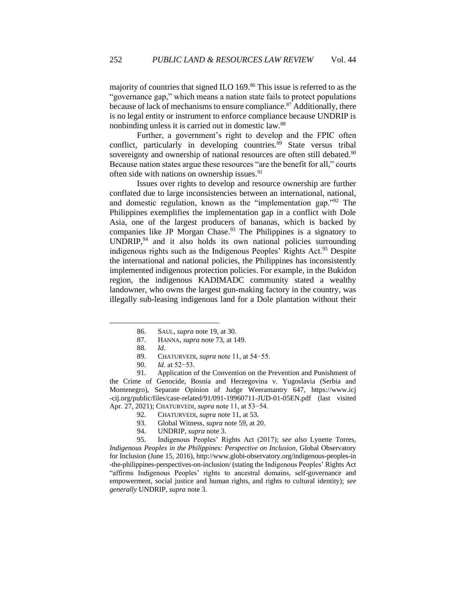majority of countries that signed ILO 169.<sup>86</sup> This issue is referred to as the "governance gap," which means a nation state fails to protect populations because of lack of mechanisms to ensure compliance.<sup>87</sup> Additionally, there is no legal entity or instrument to enforce compliance because UNDRIP is nonbinding unless it is carried out in domestic law.<sup>88</sup>

Further, a government's right to develop and the FPIC often conflict, particularly in developing countries.<sup>89</sup> State versus tribal sovereignty and ownership of national resources are often still debated.<sup>90</sup> Because nation states argue these resources "are the benefit for all," courts often side with nations on ownership issues.<sup>91</sup>

Issues over rights to develop and resource ownership are further conflated due to large inconsistencies between an international, national, and domestic regulation, known as the "implementation gap."<sup>92</sup> The Philippines exemplifies the implementation gap in a conflict with Dole Asia, one of the largest producers of bananas, which is backed by companies like JP Morgan Chase.<sup>93</sup> The Philippines is a signatory to UNDRIP,<sup>94</sup> and it also holds its own national policies surrounding indigenous rights such as the Indigenous Peoples' Rights Act.<sup>95</sup> Despite the international and national policies, the Philippines has inconsistently implemented indigenous protection policies. For example, in the Bukidon region, the indigenous KADIMADC community stated a wealthy landowner, who owns the largest gun-making factory in the country, was illegally sub-leasing indigenous land for a Dole plantation without their

91. Application of the Convention on the Prevention and Punishment of the Crime of Genocide, Bosnia and Herzegovina v. Yugoslavia (Serbia and Montenegro), Separate Opinion of Judge Weeramantry 647, https://www.icj -cij.org/public/files/case-related/91/091-19960711-JUD-01-05EN.pdf (last visited Apr. 27, 2021); CHATURVEDI, *supra* note 11, at 53−54.

- 92. CHATURVEDI, *supra* note 11, at 53.
- 93. Global Witness, *supra* note 59, at 20.<br>94. UNDRIP, *supra* note 3.
- 94. UNDRIP, *supra* note 3.

95. Indigenous Peoples' Rights Act (2017); *see also* Lynette Torres, *Indigenous Peoples in the Philippines: Perspective on Inclusion*, Global Observatory for Inclusion (June 15, 2016), http://www.globi-observatory.org/indigenous-peoples-in -the-philippines-perspectives-on-inclusion/ (stating the Indigenous Peoples' Rights Act "affirms Indigenous Peoples' rights to ancestral domains, self-governance and empowerment, social justice and human rights, and rights to cultural identity); *see generally* UNDRIP, *supra* note 3.

<sup>86.</sup> SAUL, *supra* note 19, at 30.

<sup>87.</sup> HANNA, *supra* note 73, at 149.

<sup>88.</sup> *Id*.

<sup>89.</sup> CHATURVEDI, *supra* note 11, at 54−55.

<sup>90.</sup> *Id*. at 52−53.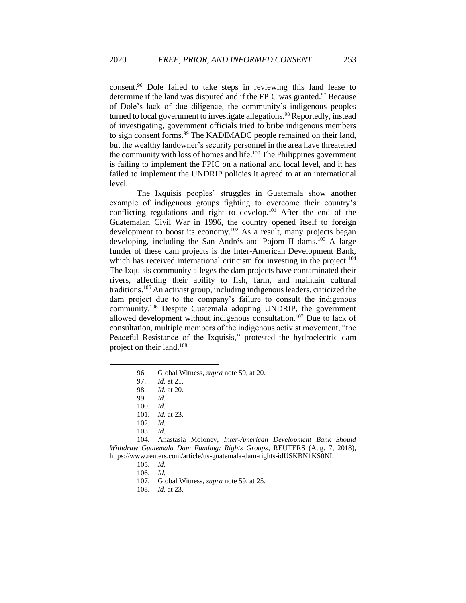consent.<sup>96</sup> Dole failed to take steps in reviewing this land lease to determine if the land was disputed and if the FPIC was granted.<sup>97</sup> Because of Dole's lack of due diligence, the community's indigenous peoples turned to local government to investigate allegations.<sup>98</sup> Reportedly, instead of investigating, government officials tried to bribe indigenous members to sign consent forms.<sup>99</sup> The KADIMADC people remained on their land, but the wealthy landowner's security personnel in the area have threatened the community with loss of homes and life.<sup>100</sup> The Philippines government is failing to implement the FPIC on a national and local level, and it has failed to implement the UNDRIP policies it agreed to at an international level.

The Ixquisis peoples' struggles in Guatemala show another example of indigenous groups fighting to overcome their country's conflicting regulations and right to develop.<sup>101</sup> After the end of the Guatemalan Civil War in 1996, the country opened itself to foreign development to boost its economy.<sup>102</sup> As a result, many projects began developing, including the San Andrés and Pojom II dams.<sup>103</sup> A large funder of these dam projects is the Inter-American Development Bank, which has received international criticism for investing in the project.<sup>104</sup> The Ixquisis community alleges the dam projects have contaminated their rivers, affecting their ability to fish, farm, and maintain cultural traditions.<sup>105</sup> An activist group, including indigenous leaders, criticized the dam project due to the company's failure to consult the indigenous community.<sup>106</sup> Despite Guatemala adopting UNDRIP, the government allowed development without indigenous consultation. <sup>107</sup> Due to lack of consultation, multiple members of the indigenous activist movement, "the Peaceful Resistance of the Ixquisis," protested the hydroelectric dam project on their land.<sup>108</sup>

107. Global Witness, *supra* note 59, at 25.

<sup>96.</sup> Global Witness, *supra* note 59, at 20.

<sup>97.</sup> *Id.* at 21.

<sup>98.</sup> *Id.* at 20.

<sup>99.</sup> *Id*.

<sup>100.</sup> *Id*.

<sup>101.</sup> *Id.* at 23.

<sup>102.</sup> *Id.*

<sup>103.</sup> *Id.*

<sup>104.</sup> Anastasia Moloney, *Inter-American Development Bank Should Withdraw Guatemala Dam Funding: Rights Groups*, REUTERS (Aug. 7, 2018), https://www.reuters.com/article/us-guatemala-dam-rights-idUSKBN1KS0NI.

<sup>105.</sup> *Id*.

<sup>106.</sup> *Id.* 

<sup>108.</sup> *Id*. at 23.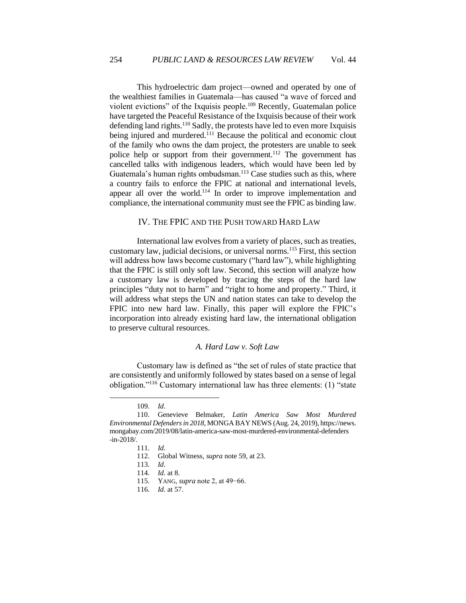This hydroelectric dam project—owned and operated by one of the wealthiest families in Guatemala—has caused "a wave of forced and violent evictions" of the Ixquisis people.<sup>109</sup> Recently, Guatemalan police have targeted the Peaceful Resistance of the Ixquisis because of their work defending land rights.<sup>110</sup> Sadly, the protests have led to even more Ixquisis being injured and murdered.<sup>111</sup> Because the political and economic clout of the family who owns the dam project, the protesters are unable to seek police help or support from their government.<sup>112</sup> The government has cancelled talks with indigenous leaders, which would have been led by Guatemala's human rights ombudsman.<sup>113</sup> Case studies such as this, where a country fails to enforce the FPIC at national and international levels, appear all over the world.<sup>114</sup> In order to improve implementation and compliance, the international community must see the FPIC as binding law.

#### IV. THE FPIC AND THE PUSH TOWARD HARD LAW

<span id="page-14-0"></span>International law evolves from a variety of places, such as treaties, customary law, judicial decisions, or universal norms.<sup>115</sup> First, this section will address how laws become customary ("hard law"), while highlighting that the FPIC is still only soft law. Second, this section will analyze how a customary law is developed by tracing the steps of the hard law principles "duty not to harm" and "right to home and property." Third, it will address what steps the UN and nation states can take to develop the FPIC into new hard law. Finally, this paper will explore the FPIC's incorporation into already existing hard law, the international obligation to preserve cultural resources.

#### *A. Hard Law v. Soft Law*

<span id="page-14-1"></span>Customary law is defined as "the set of rules of state practice that are consistently and uniformly followed by states based on a sense of legal obligation."<sup>116</sup> Customary international law has three elements: (1) "state

<sup>109.</sup> *Id*.

<sup>110.</sup> Genevieve Belmaker*, Latin America Saw Most Murdered Environmental Defenders in 2018*, MONGA BAY NEWS (Aug. 24, 2019), https://news. mongabay.com/2019/08/latin-america-saw-most-murdered-environmental-defenders -in-2018/.

<sup>111.</sup> *Id.*

<sup>112.</sup> Global Witness, *supra* note 59, at 23.

<sup>113.</sup> *Id*.

<sup>114.</sup> *Id.* at 8.

<sup>115.</sup> YANG, *supra* note 2, at 49−66.

<sup>116.</sup> *Id*. at 57.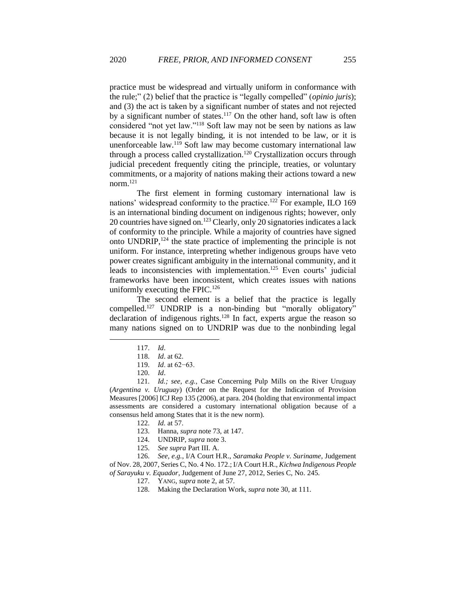practice must be widespread and virtually uniform in conformance with the rule;" (2) belief that the practice is "legally compelled" (*opinio juris*); and (3) the act is taken by a significant number of states and not rejected by a significant number of states. $117$  On the other hand, soft law is often considered "not yet law."<sup>118</sup> Soft law may not be seen by nations as law because it is not legally binding, it is not intended to be law, or it is unenforceable law. <sup>119</sup> Soft law may become customary international law through a process called crystallization.<sup>120</sup> Crystallization occurs through judicial precedent frequently citing the principle, treaties, or voluntary commitments, or a majority of nations making their actions toward a new norm $^{121}$ 

The first element in forming customary international law is nations' widespread conformity to the practice.<sup>122</sup> For example, ILO 169 is an international binding document on indigenous rights; however, only 20 countries have signed on.<sup>123</sup> Clearly, only 20 signatories indicates a lack of conformity to the principle. While a majority of countries have signed onto UNDRIP, <sup>124</sup> the state practice of implementing the principle is not uniform. For instance, interpreting whether indigenous groups have veto power creates significant ambiguity in the international community, and it leads to inconsistencies with implementation.<sup>125</sup> Even courts' judicial frameworks have been inconsistent, which creates issues with nations uniformly executing the FPIC.<sup>126</sup>

The second element is a belief that the practice is legally compelled.<sup>127</sup> UNDRIP is a non-binding but "morally obligatory" declaration of indigenous rights.<sup>128</sup> In fact, experts argue the reason so many nations signed on to UNDRIP was due to the nonbinding legal

<sup>117.</sup> *Id*.

<sup>118.</sup> *Id*. at 62.

<sup>119.</sup> *Id*. at 62−63.

<sup>120.</sup> *Id*.

<sup>121.</sup> *Id.; see, e.g.,* Case Concerning Pulp Mills on the River Uruguay (*Argentina v. Uruguay*) (Order on the Request for the Indication of Provision Measures [2006] ICJ Rep 135 (2006), at para. 204 (holding that environmental impact assessments are considered a customary international obligation because of a consensus held among States that it is the new norm).

<sup>122.</sup> *Id.* at 57.

<sup>123.</sup> Hanna, *supra* note 73, at 147.

<sup>124.</sup> UNDRIP, *supra* note 3.

<sup>125.</sup> *See supra* Part III. A.

<sup>126.</sup> *See, e.g.*, I/A Court H.R., *Saramaka People v. Suriname,* Judgement of Nov. 28, 2007, Series C, No. 4 No. 172.; I/A Court H.R., *Kichwa Indigenous People of Sarayuku v. Equador*, Judgement of June 27, 2012, Series C, No. 245.

<sup>127.</sup> YANG, *supra* note 2, at 57.

<sup>128.</sup> Making the Declaration Work, *supra* note 30, at 111.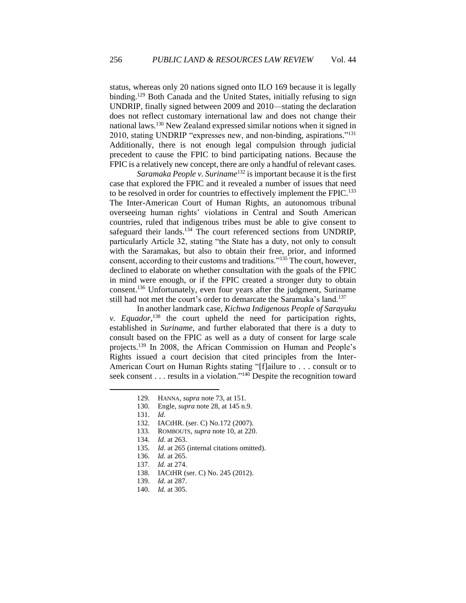status, whereas only 20 nations signed onto ILO 169 because it is legally binding.<sup>129</sup> Both Canada and the United States, initially refusing to sign UNDRIP, finally signed between 2009 and 2010—stating the declaration does not reflect customary international law and does not change their national laws.<sup>130</sup> New Zealand expressed similar notions when it signed in 2010, stating UNDRIP "expresses new, and non-binding, aspirations."<sup>131</sup> Additionally, there is not enough legal compulsion through judicial precedent to cause the FPIC to bind participating nations. Because the FPIC is a relatively new concept, there are only a handful of relevant cases.

*Saramaka People v. Suriname*<sup>132</sup> is important because it is the first case that explored the FPIC and it revealed a number of issues that need to be resolved in order for countries to effectively implement the FPIC.<sup>133</sup> The Inter-American Court of Human Rights, an autonomous tribunal overseeing human rights' violations in Central and South American countries, ruled that indigenous tribes must be able to give consent to safeguard their lands.<sup>134</sup> The court referenced sections from UNDRIP, particularly Article 32, stating "the State has a duty, not only to consult with the Saramakas, but also to obtain their free, prior, and informed consent, according to their customs and traditions."<sup>135</sup> The court, however, declined to elaborate on whether consultation with the goals of the FPIC in mind were enough, or if the FPIC created a stronger duty to obtain consent.<sup>136</sup> Unfortunately, even four years after the judgment, Suriname still had not met the court's order to demarcate the Saramaka's land.<sup>137</sup>

In another landmark case, *Kichwa Indigenous People of Sarayuku v. Equador*<sup>138</sup>, the court upheld the need for participation rights, established in *Suriname*, and further elaborated that there is a duty to consult based on the FPIC as well as a duty of consent for large scale projects.<sup>139</sup> In 2008, the African Commission on Human and People's Rights issued a court decision that cited principles from the Inter-American Court on Human Rights stating "[f]ailure to . . . consult or to seek consent . . . results in a violation."<sup>140</sup> Despite the recognition toward

- 135. *Id*. at 265 (internal citations omitted).
- 136. *Id.* at 265.
- 137. *Id.* at 274.
- 138. IACtHR (ser. C) No. 245 (2012).
- 139. *Id.* at 287.
- 140. *Id.* at 305.

<sup>129.</sup> HANNA, *supra* note 73, at 151.

<sup>130.</sup> Engle, *supra* note 28, at 145 n.9.

<sup>131.</sup> *Id*.

<sup>132.</sup> IACtHR. (ser. C) No.172 (2007).

<sup>133.</sup> ROMBOUTS, *supra* note 10, at 220.

<sup>134.</sup> *Id.* at 263.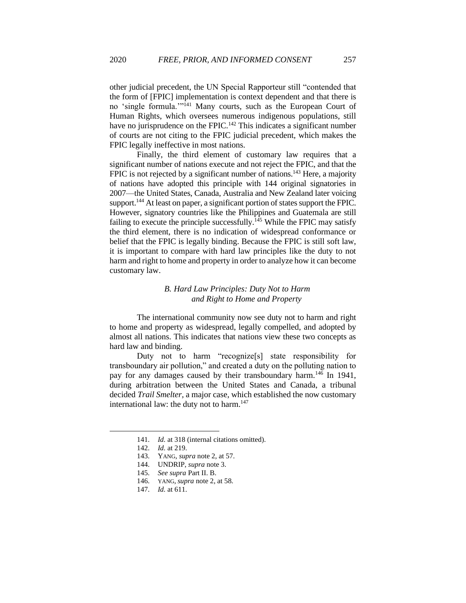other judicial precedent, the UN Special Rapporteur still "contended that the form of [FPIC] implementation is context dependent and that there is no 'single formula.'"<sup>141</sup> Many courts, such as the European Court of Human Rights, which oversees numerous indigenous populations, still have no jurisprudence on the FPIC.<sup>142</sup> This indicates a significant number of courts are not citing to the FPIC judicial precedent, which makes the FPIC legally ineffective in most nations.

Finally, the third element of customary law requires that a significant number of nations execute and not reject the FPIC, and that the FPIC is not rejected by a significant number of nations.<sup>143</sup> Here, a majority of nations have adopted this principle with 144 original signatories in 2007—the United States, Canada, Australia and New Zealand later voicing support.<sup>144</sup> At least on paper, a significant portion of states support the FPIC. However, signatory countries like the Philippines and Guatemala are still failing to execute the principle successfully.<sup>145</sup> While the FPIC may satisfy the third element, there is no indication of widespread conformance or belief that the FPIC is legally binding. Because the FPIC is still soft law, it is important to compare with hard law principles like the duty to not harm and right to home and property in order to analyze how it can become customary law.

# *B. Hard Law Principles: Duty Not to Harm and Right to Home and Property*

<span id="page-17-0"></span>The international community now see duty not to harm and right to home and property as widespread, legally compelled, and adopted by almost all nations. This indicates that nations view these two concepts as hard law and binding.

Duty not to harm "recognize[s] state responsibility for transboundary air pollution," and created a duty on the polluting nation to pay for any damages caused by their transboundary harm.<sup>146</sup> In 1941, during arbitration between the United States and Canada, a tribunal decided *Trail Smelter,* a major case, which established the now customary international law: the duty not to harm.<sup>147</sup>

<sup>141.</sup> *Id.* at 318 (internal citations omitted).

<sup>142.</sup> *Id.* at 219.

<sup>143.</sup> YANG, *supra* note 2, at 57.

<sup>144.</sup> UNDRIP, *supra* note 3.

<sup>145.</sup> *See supra* Part II. B.

<sup>146.</sup> YANG, *supra* note 2, at 58.

<sup>147.</sup> *Id.* at 611.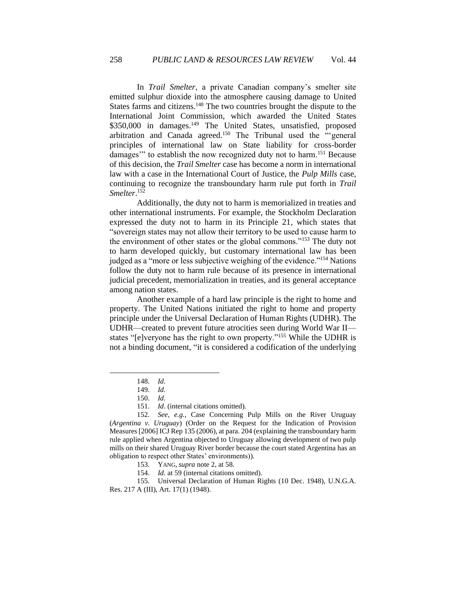In *Trail Smelter*, a private Canadian company's smelter site emitted sulphur dioxide into the atmosphere causing damage to United States farms and citizens.<sup>148</sup> The two countries brought the dispute to the International Joint Commission, which awarded the United States \$350,000 in damages.<sup>149</sup> The United States, unsatisfied, proposed arbitration and Canada agreed.<sup>150</sup> The Tribunal used the "'general principles of international law on State liability for cross-border damages" to establish the now recognized duty not to harm.<sup>151</sup> Because of this decision, the *Trail Smelter* case has become a norm in international law with a case in the International Court of Justice, the *Pulp Mills* case, continuing to recognize the transboundary harm rule put forth in *Trail Smelter*. 152

Additionally, the duty not to harm is memorialized in treaties and other international instruments. For example, the Stockholm Declaration expressed the duty not to harm in its Principle 21, which states that "sovereign states may not allow their territory to be used to cause harm to the environment of other states or the global commons."<sup>153</sup> The duty not to harm developed quickly, but customary international law has been judged as a "more or less subjective weighing of the evidence."<sup>154</sup> Nations follow the duty not to harm rule because of its presence in international judicial precedent, memorialization in treaties, and its general acceptance among nation states.

Another example of a hard law principle is the right to home and property. The United Nations initiated the right to home and property principle under the Universal Declaration of Human Rights (UDHR). The UDHR—created to prevent future atrocities seen during World War II states "[e]veryone has the right to own property."<sup>155</sup> While the UDHR is not a binding document, "it is considered a codification of the underlying

<sup>148.</sup> *Id*.

<sup>149.</sup> *Id.* 

<sup>150.</sup> *Id.* 

<sup>151.</sup> *Id*. (internal citations omitted)*.*

<sup>152.</sup> *See, e.g.,* Case Concerning Pulp Mills on the River Uruguay (*Argentina v. Uruguay*) (Order on the Request for the Indication of Provision Measures [2006] ICJ Rep 135 (2006), at para. 204 (explaining the transboundary harm rule applied when Argentina objected to Uruguay allowing development of two pulp mills on their shared Uruguay River border because the court stated Argentina has an obligation to respect other States' environments)).

<sup>153.</sup> YANG, *supra* note 2, at 58.

<sup>154.</sup> *Id.* at 59 (internal citations omitted).

<sup>155.</sup> Universal Declaration of Human Rights (10 Dec. 1948), U.N.G.A. Res. 217 A (III), Art. 17(1) (1948).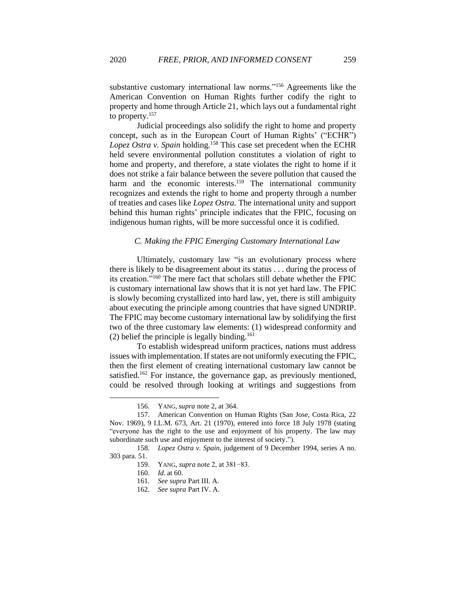substantive customary international law norms."<sup>156</sup> Agreements like the American Convention on Human Rights further codify the right to property and home through Article 21, which lays out a fundamental right to property.<sup>157</sup>

Judicial proceedings also solidify the right to home and property concept, such as in the European Court of Human Rights' ("ECHR") *Lopez Ostra v. Spain* holding*.* <sup>158</sup> This case set precedent when the ECHR held severe environmental pollution constitutes a violation of right to home and property, and therefore, a state violates the right to home if it does not strike a fair balance between the severe pollution that caused the harm and the economic interests.<sup>159</sup> The international community recognizes and extends the right to home and property through a number of treaties and cases like *Lopez Ostra.* The international unity and support behind this human rights' principle indicates that the FPIC, focusing on indigenous human rights, will be more successful once it is codified.

#### *C. Making the FPIC Emerging Customary International Law*

<span id="page-19-0"></span>Ultimately, customary law "is an evolutionary process where there is likely to be disagreement about its status . . . during the process of its creation."<sup>160</sup> The mere fact that scholars still debate whether the FPIC is customary international law shows that it is not yet hard law. The FPIC is slowly becoming crystallized into hard law, yet, there is still ambiguity about executing the principle among countries that have signed UNDRIP. The FPIC may become customary international law by solidifying the first two of the three customary law elements: (1) widespread conformity and (2) belief the principle is legally binding.<sup>161</sup>

To establish widespread uniform practices, nations must address issues with implementation. If states are not uniformly executing the FPIC, then the first element of creating international customary law cannot be satisfied.<sup>162</sup> For instance, the governance gap, as previously mentioned, could be resolved through looking at writings and suggestions from

<sup>156.</sup> YANG, *supra* note 2, at 364.

<sup>157.</sup> American Convention on Human Rights (San Jose, Costa Rica, 22 Nov. 1969), 9 I.L.M. 673, Art. 21 (1970), entered into force 18 July 1978 (stating "everyone has the right to the use and enjoyment of his property. The law may subordinate such use and enjoyment to the interest of society.").

<sup>158.</sup> *Lopez Ostra v. Spain,* judgement of 9 December 1994, series A no. 303 para. 51.

<sup>159.</sup> YANG, *supra* note 2, at 381−83.

<sup>160.</sup> *Id.* at 60.

<sup>161.</sup> *See supra* Part III. A.

<sup>162.</sup> *See supra* Part IV. A.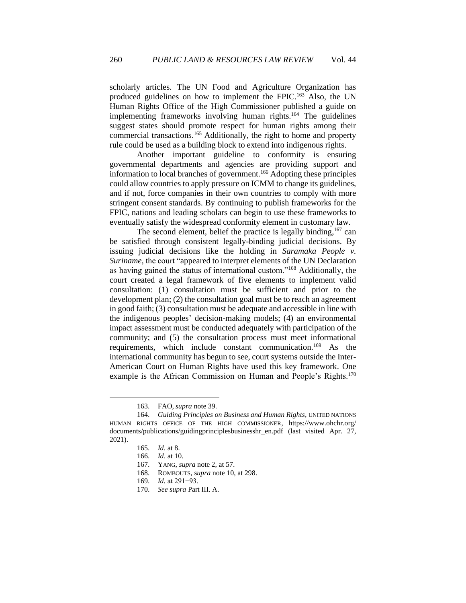scholarly articles. The UN Food and Agriculture Organization has produced guidelines on how to implement the FPIC.<sup>163</sup> Also, the UN Human Rights Office of the High Commissioner published a guide on implementing frameworks involving human rights.<sup>164</sup> The guidelines suggest states should promote respect for human rights among their commercial transactions.<sup>165</sup> Additionally, the right to home and property rule could be used as a building block to extend into indigenous rights.

Another important guideline to conformity is ensuring governmental departments and agencies are providing support and information to local branches of government.<sup>166</sup> Adopting these principles could allow countries to apply pressure on ICMM to change its guidelines, and if not, force companies in their own countries to comply with more stringent consent standards. By continuing to publish frameworks for the FPIC, nations and leading scholars can begin to use these frameworks to eventually satisfy the widespread conformity element in customary law.

The second element, belief the practice is legally binding,<sup>167</sup> can be satisfied through consistent legally-binding judicial decisions. By issuing judicial decisions like the holding in *Saramaka People v. Suriname,* the court "appeared to interpret elements of the UN Declaration as having gained the status of international custom."<sup>168</sup> Additionally, the court created a legal framework of five elements to implement valid consultation: (1) consultation must be sufficient and prior to the development plan; (2) the consultation goal must be to reach an agreement in good faith; (3) consultation must be adequate and accessible in line with the indigenous peoples' decision-making models; (4) an environmental impact assessment must be conducted adequately with participation of the community; and (5) the consultation process must meet informational requirements, which include constant communication.<sup>169</sup> As the international community has begun to see, court systems outside the Inter-American Court on Human Rights have used this key framework. One example is the African Commission on Human and People's Rights.<sup>170</sup>

<sup>163.</sup> FAO, *supra* note 39.

<sup>164.</sup> *Guiding Principles on Business and Human Rights*, UNITED NATIONS HUMAN RIGHTS OFFICE OF THE HIGH COMMISSIONER, https://www.ohchr.org/ documents/publications/guidingprinciplesbusinesshr\_en.pdf (last visited Apr. 27, 2021).

<sup>165.</sup> *Id*. at 8.

<sup>166.</sup> *Id*. at 10.

<sup>167.</sup> YANG, *supra* note 2, at 57.

<sup>168.</sup> ROMBOUTS, s*upra* note 10, at 298.

<sup>169.</sup> *Id.* at 291−93.

<sup>170.</sup> *See supra* Part III. A.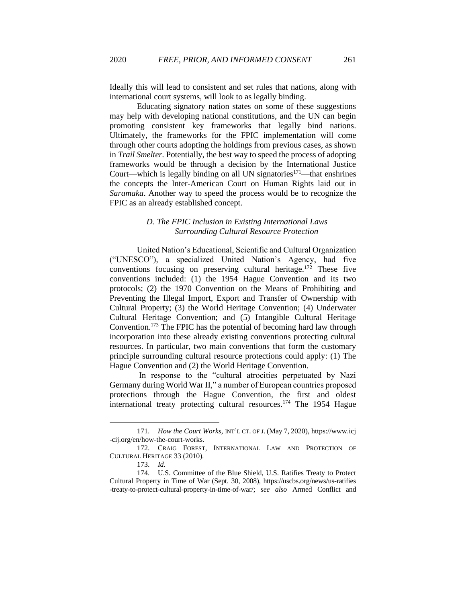Ideally this will lead to consistent and set rules that nations, along with international court systems, will look to as legally binding.

Educating signatory nation states on some of these suggestions may help with developing national constitutions, and the UN can begin promoting consistent key frameworks that legally bind nations. Ultimately, the frameworks for the FPIC implementation will come through other courts adopting the holdings from previous cases, as shown in *Trail Smelter.* Potentially, the best way to speed the process of adopting frameworks would be through a decision by the International Justice Court—which is legally binding on all UN signatories<sup>171</sup>—that enshrines the concepts the Inter-American Court on Human Rights laid out in *Saramaka*. Another way to speed the process would be to recognize the FPIC as an already established concept.

# *D. The FPIC Inclusion in Existing International Laws Surrounding Cultural Resource Protection*

<span id="page-21-0"></span>United Nation's Educational, Scientific and Cultural Organization ("UNESCO"), a specialized United Nation's Agency, had five conventions focusing on preserving cultural heritage.<sup>172</sup> These five conventions included: (1) the 1954 Hague Convention and its two protocols; (2) the 1970 Convention on the Means of Prohibiting and Preventing the Illegal Import, Export and Transfer of Ownership with Cultural Property; (3) the World Heritage Convention; (4) Underwater Cultural Heritage Convention; and (5) Intangible Cultural Heritage Convention.<sup>173</sup> The FPIC has the potential of becoming hard law through incorporation into these already existing conventions protecting cultural resources. In particular, two main conventions that form the customary principle surrounding cultural resource protections could apply: (1) The Hague Convention and (2) the World Heritage Convention.

In response to the "cultural atrocities perpetuated by Nazi Germany during World War II," a number of European countries proposed protections through the Hague Convention, the first and oldest international treaty protecting cultural resources.<sup>174</sup> The 1954 Hague

<sup>171.</sup> *How the Court Works,* INT'L CT. OF J. (May 7, 2020), https://www.icj -cij.org/en/how-the-court-works.

<sup>172.</sup> CRAIG FOREST, INTERNATIONAL LAW AND PROTECTION OF CULTURAL HERITAGE 33 (2010).

<sup>173.</sup> *Id.* 

<sup>174.</sup> U.S. Committee of the Blue Shield, U.S. Ratifies Treaty to Protect Cultural Property in Time of War (Sept. 30, 2008), https://uscbs.org/news/us-ratifies -treaty-to-protect-cultural-property-in-time-of-war/; *see also* Armed Conflict and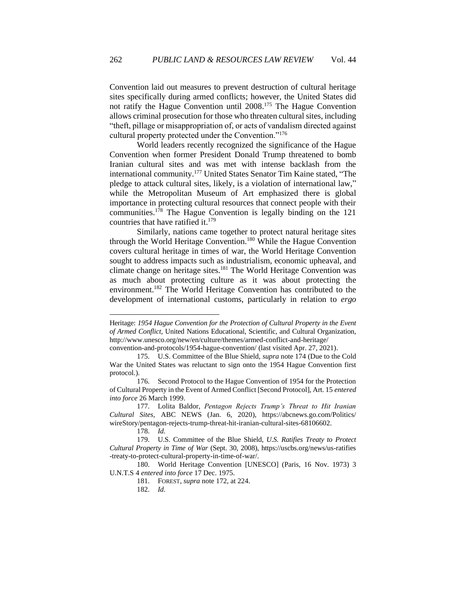Convention laid out measures to prevent destruction of cultural heritage sites specifically during armed conflicts; however, the United States did not ratify the Hague Convention until 2008. <sup>175</sup> The Hague Convention allows criminal prosecution for those who threaten cultural sites, including "theft, pillage or misappropriation of, or acts of vandalism directed against cultural property protected under the Convention."<sup>176</sup>

World leaders recently recognized the significance of the Hague Convention when former President Donald Trump threatened to bomb Iranian cultural sites and was met with intense backlash from the international community.<sup>177</sup> United States Senator Tim Kaine stated, "The pledge to attack cultural sites, likely, is a violation of international law," while the Metropolitan Museum of Art emphasized there is global importance in protecting cultural resources that connect people with their communities.<sup>178</sup> The Hague Convention is legally binding on the 121 countries that have ratified it. 179

Similarly, nations came together to protect natural heritage sites through the World Heritage Convention.<sup>180</sup> While the Hague Convention covers cultural heritage in times of war, the World Heritage Convention sought to address impacts such as industrialism, economic upheaval, and climate change on heritage sites.<sup>181</sup> The World Heritage Convention was as much about protecting culture as it was about protecting the environment.<sup>182</sup> The World Heritage Convention has contributed to the development of international customs, particularly in relation to *ergo* 

Heritage: *1954 Hague Convention for the Protection of Cultural Property in the Event of Armed Conflict,* United Nations Educational, Scientific, and Cultural Organization, http://www.unesco.org/new/en/culture/themes/armed-conflict-and-heritage/

convention-and-protocols/1954-hague-convention/ (last visited Apr. 27, 2021).

<sup>175.</sup> U.S. Committee of the Blue Shield, *supra* note 174 (Due to the Cold War the United States was reluctant to sign onto the 1954 Hague Convention first protocol.).

<sup>176.</sup> Second Protocol to the Hague Convention of 1954 for the Protection of Cultural Property in the Event of Armed Conflict [Second Protocol], Art. 15 *entered into force* 26 March 1999.

<sup>177.</sup> Lolita Baldor, *Pentagon Rejects Trump's Threat to Hit Iranian Cultural Sites,* ABC NEWS (Jan. 6, 2020), https://abcnews.go.com/Politics/ wireStory/pentagon-rejects-trump-threat-hit-iranian-cultural-sites-68106602.

<sup>178.</sup> *Id.* 

<sup>179.</sup> U.S. Committee of the Blue Shield, *U.S. Ratifies Treaty to Protect Cultural Property in Time of War* (Sept. 30, 2008), https://uscbs.org/news/us-ratifies -treaty-to-protect-cultural-property-in-time-of-war/.

<sup>180.</sup> World Heritage Convention [UNESCO] (Paris, 16 Nov. 1973) 3 U.N.T.S 4 *entered into force* 17 Dec. 1975.

<sup>181.</sup> FOREST, *supra* note 172, at 224.

<sup>182.</sup> *Id.*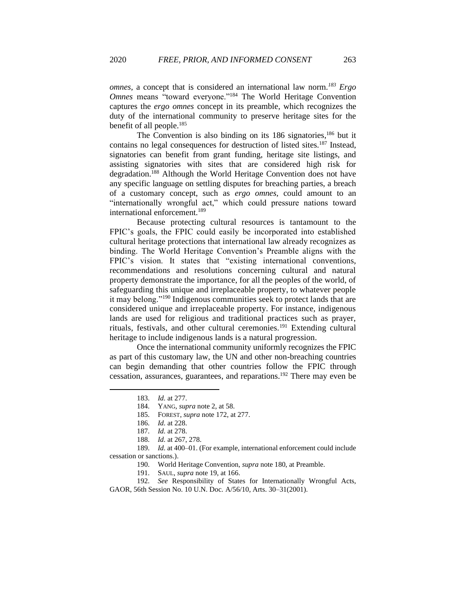*omnes,* a concept that is considered an international law norm*. <sup>183</sup> Ergo Omnes* means "toward everyone."<sup>184</sup> The World Heritage Convention captures the *ergo omnes* concept in its preamble, which recognizes the duty of the international community to preserve heritage sites for the benefit of all people.<sup>185</sup>

The Convention is also binding on its 186 signatories,<sup>186</sup> but it contains no legal consequences for destruction of listed sites.<sup>187</sup> Instead, signatories can benefit from grant funding, heritage site listings, and assisting signatories with sites that are considered high risk for degradation.<sup>188</sup> Although the World Heritage Convention does not have any specific language on settling disputes for breaching parties, a breach of a customary concept, such as *ergo omnes,* could amount to an "internationally wrongful act," which could pressure nations toward international enforcement.<sup>189</sup>

Because protecting cultural resources is tantamount to the FPIC's goals, the FPIC could easily be incorporated into established cultural heritage protections that international law already recognizes as binding. The World Heritage Convention's Preamble aligns with the FPIC's vision. It states that "existing international conventions, recommendations and resolutions concerning cultural and natural property demonstrate the importance, for all the peoples of the world, of safeguarding this unique and irreplaceable property, to whatever people it may belong."<sup>190</sup> Indigenous communities seek to protect lands that are considered unique and irreplaceable property. For instance, indigenous lands are used for religious and traditional practices such as prayer, rituals, festivals, and other cultural ceremonies.<sup>191</sup> Extending cultural heritage to include indigenous lands is a natural progression.

Once the international community uniformly recognizes the FPIC as part of this customary law, the UN and other non-breaching countries can begin demanding that other countries follow the FPIC through cessation, assurances, guarantees, and reparations.<sup>192</sup> There may even be

190. World Heritage Convention, *supra* note 180, at Preamble.

192. *See* Responsibility of States for Internationally Wrongful Acts, GAOR, 56th Session No. 10 U.N. Doc. A/56/10, Arts. 30–31(2001).

<sup>183.</sup> *Id.* at 277.

<sup>184.</sup> YANG, *supra* note 2, at 58.

<sup>185.</sup> FOREST, *supra* note 172, at 277.

<sup>186.</sup> *Id.* at 228.

<sup>187.</sup> *Id.* at 278.

<sup>188.</sup> *Id.* at 267, 278.

<sup>189.</sup> *Id.* at 400–01. (For example, international enforcement could include cessation or sanctions.).

<sup>191.</sup> SAUL, *supra* note 19, at 166.